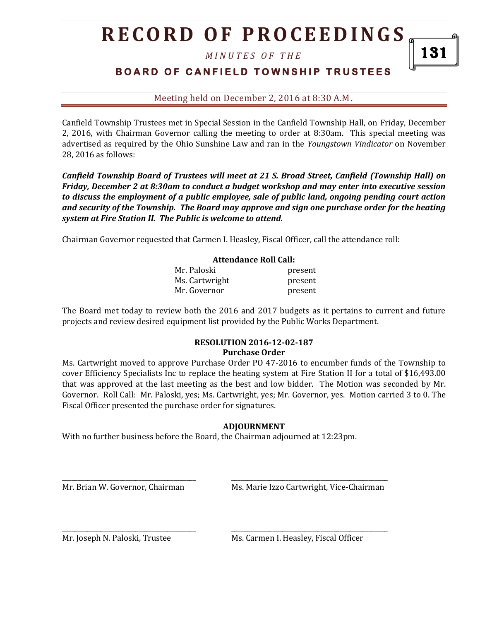# **R E C O R D O F P R O C E E D I N GS**

*M I N U T E S O F T H E* 

### **B O A R D O F C A N F I E L D T O W N S H I P T R U S T E E S**

Meeting held on December 2, 2016 at 8:30 A.M**.**

Canfield Township Trustees met in Special Session in the Canfield Township Hall, on Friday, December 2, 2016, with Chairman Governor calling the meeting to order at 8:30am. This special meeting was advertised as required by the Ohio Sunshine Law and ran in the *Youngstown Vindicator* on November 28, 2016 as follows:

*Canfield Township Board of Trustees will meet at 21 S. Broad Street, Canfield (Township Hall) on Friday, December 2 at 8:30am to conduct a budget workshop and may enter into executive session to discuss the employment of a public employee, sale of public land, ongoing pending court action and security of the Township. The Board may approve and sign one purchase order for the heating system at Fire Station II. The Public is welcome to attend.*

Chairman Governor requested that Carmen I. Heasley, Fiscal Officer, call the attendance roll:

#### **Attendance Roll Call:**

| Mr. Paloski    | present |
|----------------|---------|
| Ms. Cartwright | present |
| Mr. Governor   | present |

The Board met today to review both the 2016 and 2017 budgets as it pertains to current and future projects and review desired equipment list provided by the Public Works Department.

#### **RESOLUTION 2016-12-02-187 Purchase Order**

Ms. Cartwright moved to approve Purchase Order PO 47-2016 to encumber funds of the Township to cover Efficiency Specialists Inc to replace the heating system at Fire Station II for a total of \$16,493.00 that was approved at the last meeting as the best and low bidder. The Motion was seconded by Mr. Governor. Roll Call: Mr. Paloski, yes; Ms. Cartwright, yes; Mr. Governor, yes. Motion carried 3 to 0. The Fiscal Officer presented the purchase order for signatures.

#### **ADJOURNMENT**

With no further business before the Board, the Chairman adjourned at 12:23pm.

\_\_\_\_\_\_\_\_\_\_\_\_\_\_\_\_\_\_\_\_\_\_\_\_\_\_\_\_\_\_\_\_\_\_\_\_\_\_\_\_\_\_ \_\_\_\_\_\_\_\_\_\_\_\_\_\_\_\_\_\_\_\_\_\_\_\_\_\_\_\_\_\_\_\_\_\_\_\_\_\_\_\_\_\_\_\_\_\_\_\_\_

\_\_\_\_\_\_\_\_\_\_\_\_\_\_\_\_\_\_\_\_\_\_\_\_\_\_\_\_\_\_\_\_\_\_\_\_\_\_\_\_\_\_ \_\_\_\_\_\_\_\_\_\_\_\_\_\_\_\_\_\_\_\_\_\_\_\_\_\_\_\_\_\_\_\_\_\_\_\_\_\_\_\_\_\_\_\_\_\_\_\_\_

Mr. Brian W. Governor, Chairman Ms. Marie Izzo Cartwright, Vice-Chairman

Mr. Joseph N. Paloski, Trustee Ms. Carmen I. Heasley, Fiscal Officer

131